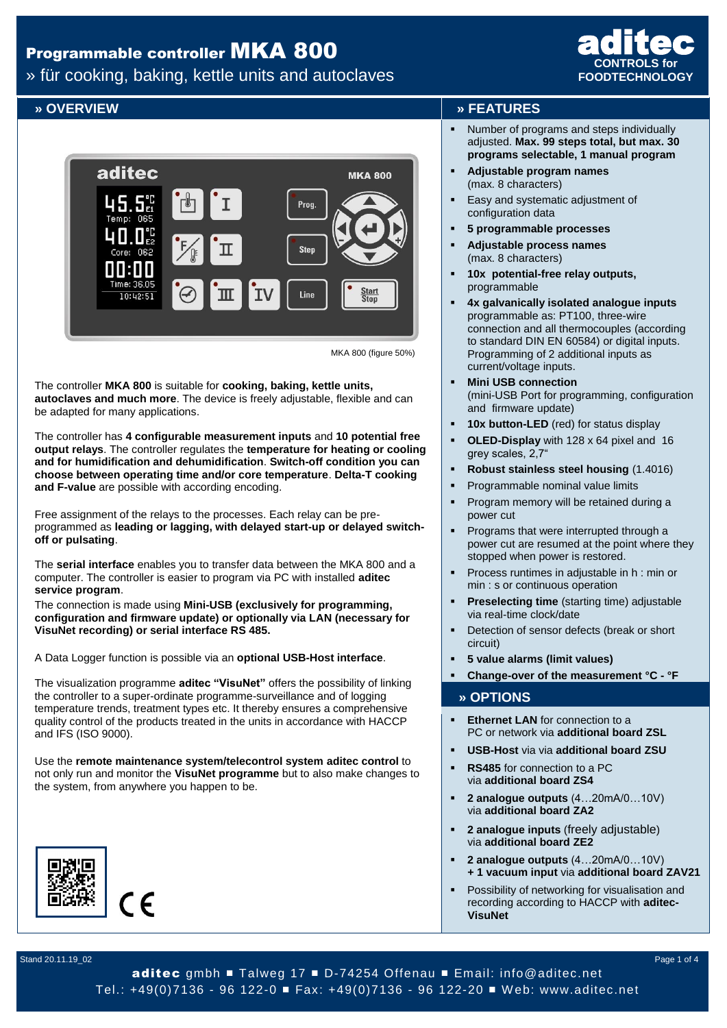» für cooking, baking, kettle units and autoclaves



MKA 800 (figure 50%)

The controller **MKA 800** is suitable for **cooking, baking, kettle units, autoclaves and much more**. The device is freely adjustable, flexible and can be adapted for many applications.

The controller has **4 configurable measurement inputs** and **10 potential free output relays**. The controller regulates the **temperature for heating or cooling and for humidification and dehumidification**. **Switch-off condition you can choose between operating time and/or core temperature**. **Delta-T cooking and F-value** are possible with according encoding.

Free assignment of the relays to the processes. Each relay can be preprogrammed as **leading or lagging, with delayed start-up or delayed switchoff or pulsating**.

The **serial interface** enables you to transfer data between the MKA 800 and a computer. The controller is easier to program via PC with installed **aditec service program**.

The connection is made using **Mini-USB (exclusively for programming, configuration and firmware update) or optionally via LAN (necessary for VisuNet recording) or serial interface RS 485.**

A Data Logger function is possible via an **optional USB-Host interface**.

The visualization programme **aditec "VisuNet"** offers the possibility of linking the controller to a super-ordinate programme-surveillance and of logging temperature trends, treatment types etc. It thereby ensures a comprehensive quality control of the products treated in the units in accordance with HACCP and IFS (ISO 9000).

Use the **remote maintenance system/telecontrol system aditec control** to not only run and monitor the **VisuNet programme** but to also make changes to the system, from anywhere you happen to be.



#### **» OVERVIEW » FEATURES**

 Number of programs and steps individually adjusted. **Max. 99 steps total, but max. 30 programs selectable, 1 manual program**

**CONTROLS for FOODTECHNOLOGY**

aditec

- **Adjustable program names** (max. 8 characters)
- Easy and systematic adjustment of configuration data
- **5 programmable processes**
- **Adjustable process names**  (max. 8 characters)
- **10x potential-free relay outputs,** programmable
- **4x galvanically isolated analogue inputs** programmable as: PT100, three-wire connection and all thermocouples (according to standard DIN EN 60584) or digital inputs. Programming of 2 additional inputs as current/voltage inputs.
- **Mini USB connection** (mini-USB Port for programming, configuration and firmware update)
- **10x button-LED** (red) for status display
- **OLED-Display** with 128 x 64 pixel and 16 grey scales, 2,7"
- **Robust stainless steel housing** (1.4016)
- Programmable nominal value limits
- Program memory will be retained during a power cut
- Programs that were interrupted through a power cut are resumed at the point where they stopped when power is restored.
- Process runtimes in adjustable in h : min or min : s or continuous operation
- **Preselecting time** (starting time) adjustable via real-time clock/date
- Detection of sensor defects (break or short circuit)
- **5 value alarms (limit values)**
- **Change-over of the measurement °C - °F**

#### **» OPTIONS**

- **Ethernet LAN** for connection to a PC or network via **additional board ZSL**
- **USB-Host** via via **additional board ZSU**
- **RS485** for connection to a PC via **additional board ZS4**
- **2 analogue outputs** (4…20mA/0…10V) via **additional board ZA2**
- **2 analogue inputs** (freely adjustable) via **additional board ZE2**
- **2 analogue outputs** (4…20mA/0…10V) **+ 1 vacuum input** via **additional board ZAV21**
- Possibility of networking for visualisation and recording according to HACCP with **aditec-VisuNet**

Stand 20.11.19\_02 Page 1 of 4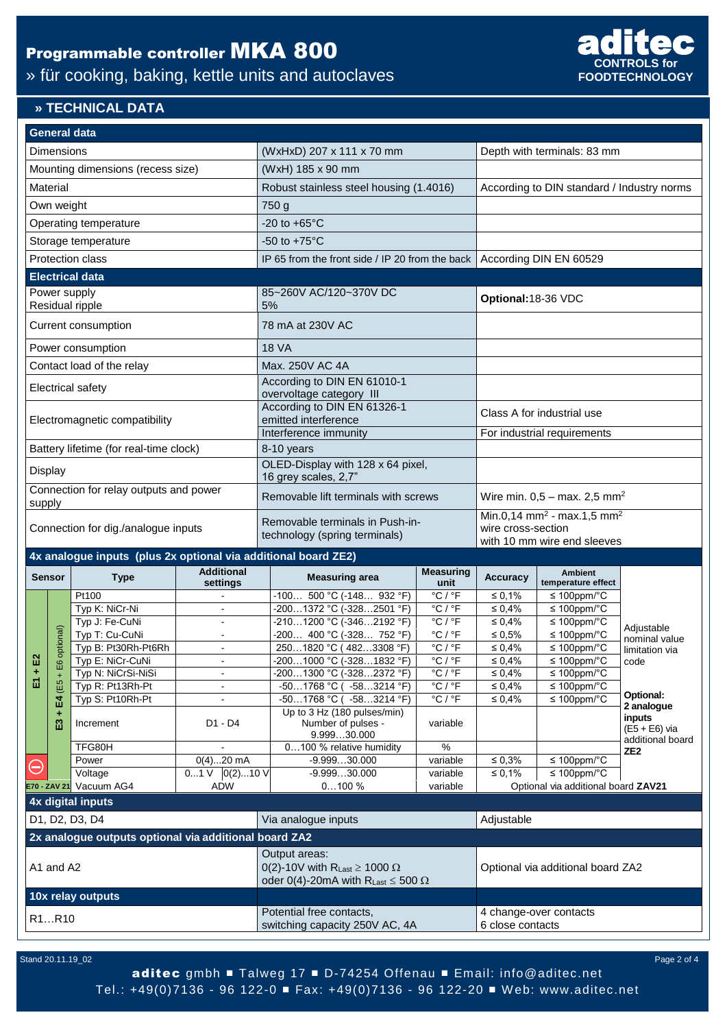## » für cooking, baking, kettle units and autoclaves



#### **» TECHNICAL DATA**

|                                                                | <b>General data</b> |                                        |                   |                                                                                                       |                                                                  |                                                            |                                                                          |                                        |                                         |
|----------------------------------------------------------------|---------------------|----------------------------------------|-------------------|-------------------------------------------------------------------------------------------------------|------------------------------------------------------------------|------------------------------------------------------------|--------------------------------------------------------------------------|----------------------------------------|-----------------------------------------|
| Dimensions                                                     |                     |                                        |                   | (WxHxD) 207 x 111 x 70 mm                                                                             |                                                                  |                                                            | Depth with terminals: 83 mm                                              |                                        |                                         |
| Mounting dimensions (recess size)                              |                     |                                        |                   | (WxH) 185 x 90 mm                                                                                     |                                                                  |                                                            |                                                                          |                                        |                                         |
| Material                                                       |                     |                                        |                   | Robust stainless steel housing (1.4016)                                                               |                                                                  |                                                            | According to DIN standard / Industry norms                               |                                        |                                         |
| Own weight                                                     |                     |                                        |                   | 750 g                                                                                                 |                                                                  |                                                            |                                                                          |                                        |                                         |
| Operating temperature                                          |                     |                                        |                   | $-20$ to $+65^{\circ}$ C                                                                              |                                                                  |                                                            |                                                                          |                                        |                                         |
| Storage temperature                                            |                     |                                        |                   | -50 to $+75^{\circ}$ C                                                                                |                                                                  |                                                            |                                                                          |                                        |                                         |
| Protection class                                               |                     |                                        |                   | IP 65 from the front side / IP 20 from the back                                                       |                                                                  |                                                            | According DIN EN 60529                                                   |                                        |                                         |
|                                                                |                     | <b>Electrical data</b>                 |                   |                                                                                                       |                                                                  |                                                            |                                                                          |                                        |                                         |
| Power supply<br>Residual ripple                                |                     |                                        |                   | 85~260V AC/120~370V DC<br>5%                                                                          |                                                                  |                                                            | Optional: 18-36 VDC                                                      |                                        |                                         |
| Current consumption                                            |                     |                                        |                   | 78 mA at 230V AC                                                                                      |                                                                  |                                                            |                                                                          |                                        |                                         |
| Power consumption                                              |                     |                                        |                   | <b>18 VA</b>                                                                                          |                                                                  |                                                            |                                                                          |                                        |                                         |
| Contact load of the relay                                      |                     |                                        |                   | Max. 250V AC 4A                                                                                       |                                                                  |                                                            |                                                                          |                                        |                                         |
| <b>Electrical safety</b>                                       |                     |                                        |                   | According to DIN EN 61010-1<br>overvoltage category III                                               |                                                                  |                                                            |                                                                          |                                        |                                         |
| Electromagnetic compatibility                                  |                     |                                        |                   | According to DIN EN 61326-1<br>emitted interference                                                   |                                                                  | Class A for industrial use                                 |                                                                          |                                        |                                         |
|                                                                |                     |                                        |                   | Interference immunity                                                                                 |                                                                  |                                                            | For industrial requirements                                              |                                        |                                         |
|                                                                |                     | Battery lifetime (for real-time clock) |                   | 8-10 years                                                                                            |                                                                  |                                                            |                                                                          |                                        |                                         |
| Display                                                        |                     |                                        |                   | OLED-Display with 128 x 64 pixel,<br>16 grey scales, 2,7"                                             |                                                                  |                                                            |                                                                          |                                        |                                         |
| Connection for relay outputs and power<br>supply               |                     |                                        |                   | Removable lift terminals with screws                                                                  |                                                                  | Wire min. $0,5 - \text{max. } 2,5 \text{ mm}^2$            |                                                                          |                                        |                                         |
| Connection for dig./analogue inputs                            |                     |                                        |                   | Removable terminals in Push-in-<br>technology (spring terminals)                                      |                                                                  |                                                            | Min.0,14 mm <sup>2</sup> - max.1,5 mm <sup>2</sup><br>wire cross-section |                                        |                                         |
| 4x analogue inputs (plus 2x optional via additional board ZE2) |                     |                                        |                   |                                                                                                       |                                                                  |                                                            | with 10 mm wire end sleeves                                              |                                        |                                         |
|                                                                |                     |                                        | <b>Additional</b> |                                                                                                       |                                                                  |                                                            |                                                                          |                                        |                                         |
|                                                                | <b>Sensor</b>       | <b>Type</b>                            | settings          |                                                                                                       | <b>Measuring area</b>                                            | <b>Measuring</b><br>unit                                   | <b>Accuracy</b>                                                          | <b>Ambient</b><br>temperature effect   |                                         |
|                                                                |                     | Pt100                                  |                   |                                                                                                       | $-100$ 500 °C (-148 932 °F)                                      | $^{\circ}$ C / $^{\circ}$ F                                | $\leq 0.1\%$                                                             | $\leq 100$ ppm/°C                      |                                         |
|                                                                |                     | Typ K: NiCr-Ni                         | $\sim$            |                                                                                                       | -2001372 °C (-3282501 °F)<br>-2101200 °C (-3462192 °F)           | $^{\circ}$ C / $^{\circ}$ F<br>$^{\circ}$ C / $^{\circ}$ F | $\leq 0,4\%$                                                             | $\leq 100$ ppm/°C<br>$\leq 100$ ppm/°C |                                         |
|                                                                |                     | Typ J: Fe-CuNi<br>Typ T: Cu-CuNi       |                   |                                                                                                       | -200 400 °C (-328 752 °F)                                        | $^{\circ}$ C / $^{\circ}$ F                                | ≤ 0,4%<br>$\leq 0,5\%$                                                   | $\leq 100$ ppm/°C                      | Adjustable                              |
|                                                                | E6 optional)        | Typ B: Pt30Rh-Pt6Rh                    | $\sim$            |                                                                                                       | 2501820 °C (4823308 °F)                                          | $^{\circ}$ C / $^{\circ}$ F                                | $\leq 0,4\%$                                                             | $\leq 100$ ppm/°C                      | nominal value                           |
| E <sub>2</sub>                                                 |                     | Typ E: NiCr-CuNi                       |                   |                                                                                                       | -2001000 °C (-3281832 °F)                                        | $^{\circ}$ C / $^{\circ}$ F                                | $\leq 0,4\%$                                                             | $\leq 100$ ppm/°C                      | limitation via<br>code                  |
|                                                                |                     | Typ N: NiCrSi-NiSi                     |                   |                                                                                                       | -2001300 °C (-3282372 °F)                                        | $^{\circ}$ C / $^{\circ}$ F                                | $\leq 0{,}4\%$                                                           | ≤ 100ppm/ $°C$                         |                                         |
| 面                                                              | (E5                 | Typ R: Pt13Rh-Pt                       | $\blacksquare$    |                                                                                                       | $-501768$ °C ( $-583214$ °F)                                     | $^{\circ}$ C / $^{\circ}$ F                                | $\leq 0.4\%$                                                             | $\leq 100$ ppm/°C                      |                                         |
|                                                                | ቤ                   | Typ S: Pt10Rh-Pt                       |                   |                                                                                                       | -501768 °C ( -583214 °F)                                         | $^{\circ}$ C / $^{\circ}$ F                                | $\leq 0.4\%$                                                             | $\leq 100$ ppm/°C                      | Optional:                               |
|                                                                | ដ                   | Increment                              | D1 - D4           |                                                                                                       | Up to 3 Hz (180 pulses/min)<br>Number of pulses -<br>9.99930.000 | variable                                                   |                                                                          |                                        | 2 analogue<br>inputs<br>$(E5 + E6)$ via |
|                                                                |                     | TFG80H                                 |                   |                                                                                                       | 0100 % relative humidity                                         | $\%$                                                       |                                                                          |                                        | additional board<br>ZE <sub>2</sub>     |
| $\ominus$                                                      |                     | Power                                  | $0(4)20$ mA       |                                                                                                       | $-9.99930.000$                                                   | variable                                                   | $\leq 0.3\%$                                                             | $\leq 100$ ppm/°C                      |                                         |
|                                                                |                     | Voltage                                | $01$ V $0(2)10$ V |                                                                                                       | $-9.99930.000$                                                   | variable                                                   | ≤ 0,1%                                                                   | $\leq 100$ ppm/°C                      |                                         |
|                                                                |                     | E70 - ZAV 21 Vacuum AG4                | <b>ADW</b>        |                                                                                                       | 0100%                                                            | variable                                                   |                                                                          | Optional via additional board ZAV21    |                                         |
|                                                                |                     | 4x digital inputs                      |                   |                                                                                                       |                                                                  |                                                            |                                                                          |                                        |                                         |
| D1, D2, D3, D4                                                 |                     |                                        |                   | Via analogue inputs                                                                                   |                                                                  | Adjustable                                                 |                                                                          |                                        |                                         |
| 2x analogue outputs optional via additional board ZA2          |                     |                                        |                   |                                                                                                       |                                                                  |                                                            |                                                                          |                                        |                                         |
|                                                                |                     |                                        |                   |                                                                                                       | Output areas:                                                    |                                                            |                                                                          |                                        |                                         |
| A1 and A2                                                      |                     |                                        |                   | 0(2)-10V with RLast $\geq$ 1000 $\Omega$<br>oder 0(4)-20mA with R <sub>Last</sub> $\leq$ 500 $\Omega$ |                                                                  |                                                            | Optional via additional board ZA2                                        |                                        |                                         |
| 10x relay outputs                                              |                     |                                        |                   |                                                                                                       |                                                                  |                                                            |                                                                          |                                        |                                         |
| R1R10                                                          |                     |                                        |                   | Potential free contacts,<br>switching capacity 250V AC, 4A                                            |                                                                  |                                                            | 4 change-over contacts<br>6 close contacts                               |                                        |                                         |
|                                                                |                     |                                        |                   |                                                                                                       |                                                                  |                                                            |                                                                          |                                        |                                         |

Stand 20.11.19\_02 Page 2 of 4

aditec gmbh ■ Talweg 17 ■ D-74254 Offenau ■ Email: info@aditec.net Tel.: +49(0)7136 - 96 122-0 ■ Fax: +49(0)7136 - 96 122-20 ■ W eb: www.aditec.net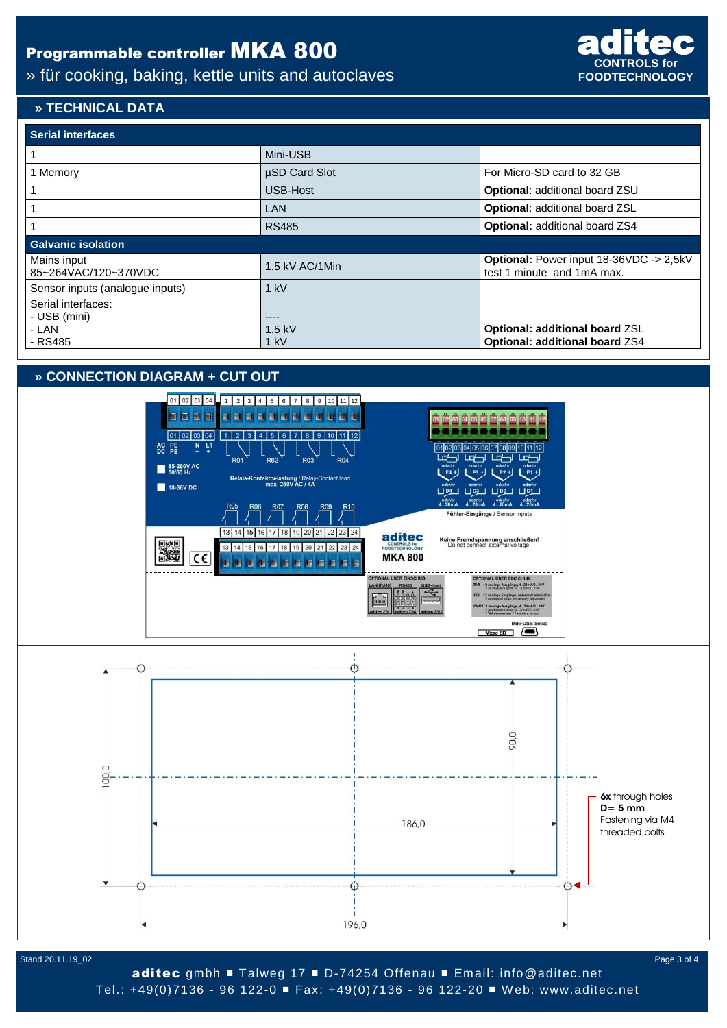### » für cooking, baking, kettle units and autoclaves



#### **» TECHNICAL DATA**

| <b>Serial interfaces</b>            |                      |                                                                       |  |  |  |  |  |  |
|-------------------------------------|----------------------|-----------------------------------------------------------------------|--|--|--|--|--|--|
|                                     | Mini-USB             |                                                                       |  |  |  |  |  |  |
| 1 Memory                            | <b>µSD Card Slot</b> | For Micro-SD card to 32 GB                                            |  |  |  |  |  |  |
|                                     | USB-Host             | <b>Optional: additional board ZSU</b>                                 |  |  |  |  |  |  |
|                                     | <b>LAN</b>           | <b>Optional: additional board ZSL</b>                                 |  |  |  |  |  |  |
|                                     | <b>RS485</b>         | Optional: additional board ZS4                                        |  |  |  |  |  |  |
| <b>Galvanic isolation</b>           |                      |                                                                       |  |  |  |  |  |  |
| Mains input<br>85~264VAC/120~370VDC | 1,5 kV AC/1Min       | Optional: Power input 18-36VDC -> 2,5kV<br>test 1 minute and 1mA max. |  |  |  |  |  |  |
| Sensor inputs (analogue inputs)     | $1$ kV               |                                                                       |  |  |  |  |  |  |
| Serial interfaces:<br>- USB (mini)  | ----                 |                                                                       |  |  |  |  |  |  |
| - LAN                               | $1.5$ kV             | Optional: additional board ZSL                                        |  |  |  |  |  |  |
| - RS485                             | $1$ kV               | Optional: additional board ZS4                                        |  |  |  |  |  |  |

### **» CONNECTION DIAGRAM + CUT OUT**



Stand 20.11.19\_02 Page 3 of 4

aditec gmbh ■ Talweg 17 ■ D-74254 Offenau ■ Email: info@aditec.net Tel.: +49(0)7136 - 96 122-0 ■ Fax: +49(0)7136 - 96 122-20 ■ W eb: www.aditec.net